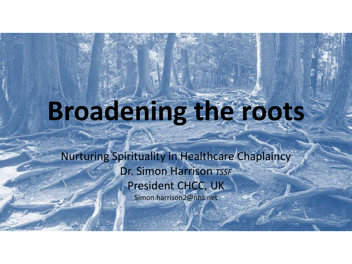## **Broadening the roots**

Nurturing Spirituality in Healthcare Chaplaincy Dr. Simon Harrison *TSSF* President CHCC, UK Simon.harrison2@nhs.net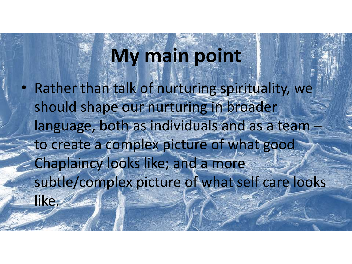## **My main point**

• Rather than talk of nurturing spirituality, we should shape our nurturing in broader language, both as individuals and as a team to create a complex picture of what good Chaplaincy looks like; and a more subtle/complex picture of what self care looks like.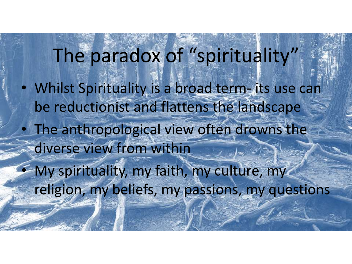The paradox of "spirituality" • Whilst Spirituality is a broad term- its use can be reductionist and flattens the landscape The anthropological view often drowns the diverse view from within • My spirituality, my faith, my culture, my religion, my beliefs, my passions, my questions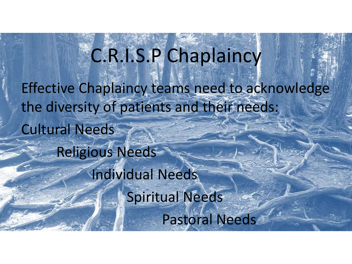C.R.I.S.P Chaplaincy Effective Chaplaincy teams need to acknowledge the diversity of patients and their needs: Cultural Needs Religious Needs Individual Needs Spiritual Needs Pastoral Needs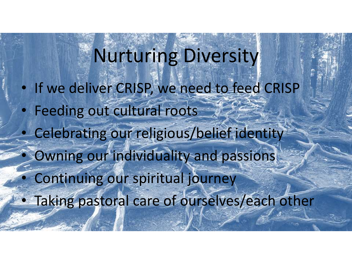Nurturing Diversity • If we deliver CRISP, we need to feed CRISP Feeding out cultural roots • Celebrating our religious/belief identity Owning our individuality and passions Continuing our spiritual journey • Taking pastoral care of ourselves/each other